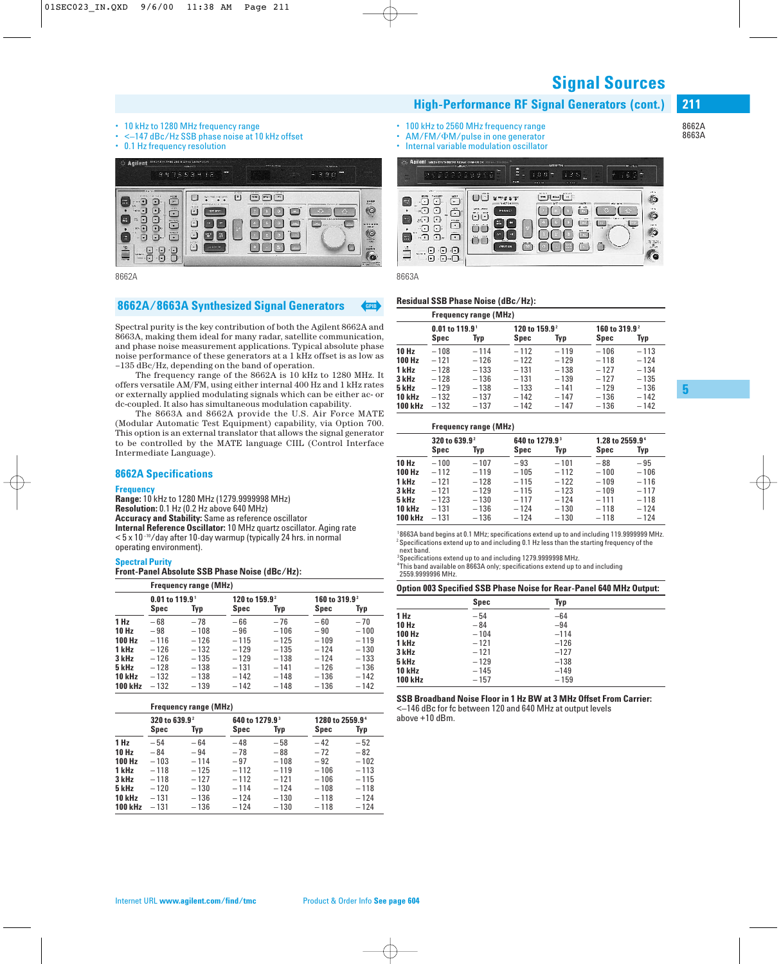**Signal Sources**

#### • 10 kHz to 1280 MHz frequency range

- <–147 dBc/Hz SSB phase noise at 10 kHz offset
- 0.1 Hz frequency resolution



8662A 8663A

### **8662A/8663A Synthesized Signal Generators** 1

Spectral purity is the key contribution of both the Agilent 8662A and 8663A, making them ideal for many radar, satellite communication, and phase noise measurement applications. Typical absolute phase noise performance of these generators at a 1 kHz offset is as low as –135 dBc/Hz, depending on the band of operation.

The frequency range of the 8662A is 10 kHz to 1280 MHz. It offers versatile AM/FM, using either internal 400 Hz and 1 kHz rates or externally applied modulating signals which can be either ac- or dc-coupled. It also has simultaneous modulation capability.

The 8663A and 8662A provide the U.S. Air Force MATE (Modular Automatic Test Equipment) capability, via Option 700. This option is an external translator that allows the signal generator to be controlled by the MATE language CIIL (Control Interface Intermediate Language).

#### **8662A Specifications**

#### **Frequency**

**Range:** 10 kHz to 1280 MHz (1279.9999998 MHz) **Resolution:** 0.1 Hz (0.2 Hz above 640 MHz) **Accuracy and Stability:** Same as reference oscillator **Internal Reference Oscillator:** 10 MHz quartz oscillator. Aging rate  $<$  5 x 10<sup>-10</sup>/day after 10-day warmup (typically 24 hrs. in normal operating environment).

#### **Spectral Purity**

**Front-Panel Absolute SSB Phase Noise (dBc/Hz):**

|                | <b>Frequency range (MHz)</b> |        |                           |        |                           |        |  |  |
|----------------|------------------------------|--------|---------------------------|--------|---------------------------|--------|--|--|
|                | $0.01$ to 119.9 <sup>1</sup> |        | 120 to 159.9 <sup>2</sup> |        | 160 to 319.9 <sup>2</sup> |        |  |  |
|                | Spec                         | Typ    | Spec                      | Typ    | Spec                      | Typ    |  |  |
| 1 Hz           | $-68$                        | $-78$  | $-66$                     | $-76$  | $-60$                     | $-70$  |  |  |
| 10 Hz          | $-98$                        | $-108$ | $-96$                     | $-106$ | $-90$                     | $-100$ |  |  |
| 100 Hz         | $-116$                       | $-126$ | $-115$                    | $-125$ | $-109$                    | $-119$ |  |  |
| 1 kHz          | $-126$                       | $-132$ | $-129$                    | $-135$ | $-124$                    | $-130$ |  |  |
| 3 kHz          | $-126$                       | $-135$ | $-129$                    | $-138$ | $-124$                    | $-133$ |  |  |
| 5 kHz          | $-128$                       | $-138$ | $-131$                    | $-141$ | $-126$                    | $-136$ |  |  |
| 10 kHz         | $-132$                       | $-138$ | $-142$                    | $-148$ | $-136$                    | $-142$ |  |  |
| <b>100 kHz</b> | $-132$                       | $-139$ | $-142$                    | $-148$ | $-136$                    | $-142$ |  |  |

#### **Frequency range (MHz)**

|                | 320 to 639.9 <sup>2</sup> |        | 640 to 1279.9 <sup>3</sup> |        | 1280 to 2559.9 <sup>4</sup> |        |
|----------------|---------------------------|--------|----------------------------|--------|-----------------------------|--------|
|                | Spec                      | Typ    | Spec                       | Typ    | <b>Spec</b>                 | Typ    |
| 1 Hz           | $-54$                     | $-64$  | $-48$                      | $-58$  | $-42$                       | $-52$  |
| 10 Hz          | $-84$                     | $-94$  | -78                        | $-88$  | $-72$                       | $-82$  |
| 100 Hz         | $-103$                    | $-114$ | $-97$                      | $-108$ | $-92$                       | $-102$ |
| 1 kHz          | $-118$                    | $-125$ | $-112$                     | $-119$ | $-106$                      | $-113$ |
| 3 kHz          | $-118$                    | $-127$ | $-112$                     | $-121$ | $-106$                      | $-115$ |
| 5 kHz          | $-120$                    | $-130$ | $-114$                     | $-124$ | $-108$                      | $-118$ |
| 10 kHz         | $-131$                    | $-136$ | $-124$                     | $-130$ | $-118$                      | $-124$ |
| <b>100 kHz</b> | $-131$                    | $-136$ | $-124$                     | $-130$ | $-118$                      | $-124$ |

- 100 kHz to 2560 MHz frequency range
- AM/FM/ $\Phi$ M/pulse in one generator
- Internal variable modulation oscillator



**High-Performance RF Signal Generators (cont.)**

#### **Residual SSB Phase Noise (dBc/Hz):**

|                |                                | <b>Frequency range (MHz)</b> |                           |        |                           |        |
|----------------|--------------------------------|------------------------------|---------------------------|--------|---------------------------|--------|
|                | $0.01$ to $119.9$ <sup>1</sup> |                              | 120 to 159.9 <sup>2</sup> |        | 160 to 319.9 <sup>2</sup> |        |
|                | Spec                           | Typ                          | Spec                      | Typ    | Spec                      | Typ    |
| 10 Hz          | $-108$                         | $-114$                       | $-112$                    | $-119$ | $-106$                    | $-113$ |
| 100 Hz         | $-121$                         | $-126$                       | $-122$                    | $-129$ | $-118$                    | $-124$ |
| 1 kHz          | $-128$                         | $-133$                       | $-131$                    | $-138$ | $-127$                    | $-134$ |
| 3 kHz          | $-128$                         | $-136$                       | $-131$                    | $-139$ | $-127$                    | $-135$ |
| 5 kHz          | $-129$                         | $-138$                       | $-133$                    | $-141$ | $-129$                    | $-136$ |
| 10 kHz         | $-132$                         | $-137$                       | $-142$                    | $-147$ | $-136$                    | $-142$ |
| <b>100 kHz</b> | $-132$                         | $-137$                       | $-142$                    | $-147$ | $-136$                    | $-142$ |

|                |                                   | <b>Frequency range (MHz)</b> |                                    |        |                                     |        |
|----------------|-----------------------------------|------------------------------|------------------------------------|--------|-------------------------------------|--------|
|                | 320 to 639.9 <sup>2</sup><br>Spec | Typ                          | 640 to 1279.9 <sup>3</sup><br>Spec | Typ    | 1.28 to 2559.9 <sup>4</sup><br>Spec | Typ    |
| 10 Hz          | $-100$                            | $-107$                       | $-93$                              | $-101$ | $-88$                               | $-95$  |
| 100 Hz         | $-112$                            | $-119$                       | $-105$                             | $-112$ | $-100$                              | $-106$ |
| 1 kHz          | $-121$                            | $-128$                       | $-115$                             | $-122$ | $-109$                              | $-116$ |
| 3 kHz          | $-121$                            | $-129$                       | $-115$                             | $-123$ | $-109$                              | $-117$ |
| 5 kHz          | $-123$                            | $-130$                       | $-117$                             | $-124$ | $-111$                              | $-118$ |
| <b>10 kHz</b>  | $-131$                            | $-136$                       | $-124$                             | $-130$ | $-118$                              | $-124$ |
| <b>100 kHz</b> | $-131$                            | $-136$                       | $-124$                             | $-130$ | $-118$                              | $-124$ |

<sup>1</sup>8663A band begins at 0.1 MHz; specifications extend up to and including 119.9999999 MHz.  $^2$  Specifications extend up to and including 0.1 Hz less than the starting frequency of the next band.

 $3$ Specifications extend up to and including 1279.9999998 MHz.

4 This band available on 8663A only; specifications extend up to and including 2559.9999996 MHz.

**Option 003 Specified SSB Phase Noise for Rear-Panel 640 MHz Output:**

|                | <b>Spec</b> | Typ    |  |
|----------------|-------------|--------|--|
| 1 Hz           | $-54$       | $-64$  |  |
| <b>10 Hz</b>   | $-84$       | $-94$  |  |
| 100 Hz         | $-104$      | $-114$ |  |
| 1 kHz          | $-121$      | $-126$ |  |
| 3 kHz          | $-121$      | $-127$ |  |
| 5 kHz          | $-129$      | $-138$ |  |
| <b>10 kHz</b>  | $-145$      | $-149$ |  |
| <b>100 kHz</b> | $-157$      | $-159$ |  |

#### **SSB Broadband Noise Floor in 1 Hz BW at 3 MHz Offset From Carrier:**

<–146 dBc for fc between 120 and 640 MHz at output levels above +10 dBm.

8662A 8663A

**211**

**5**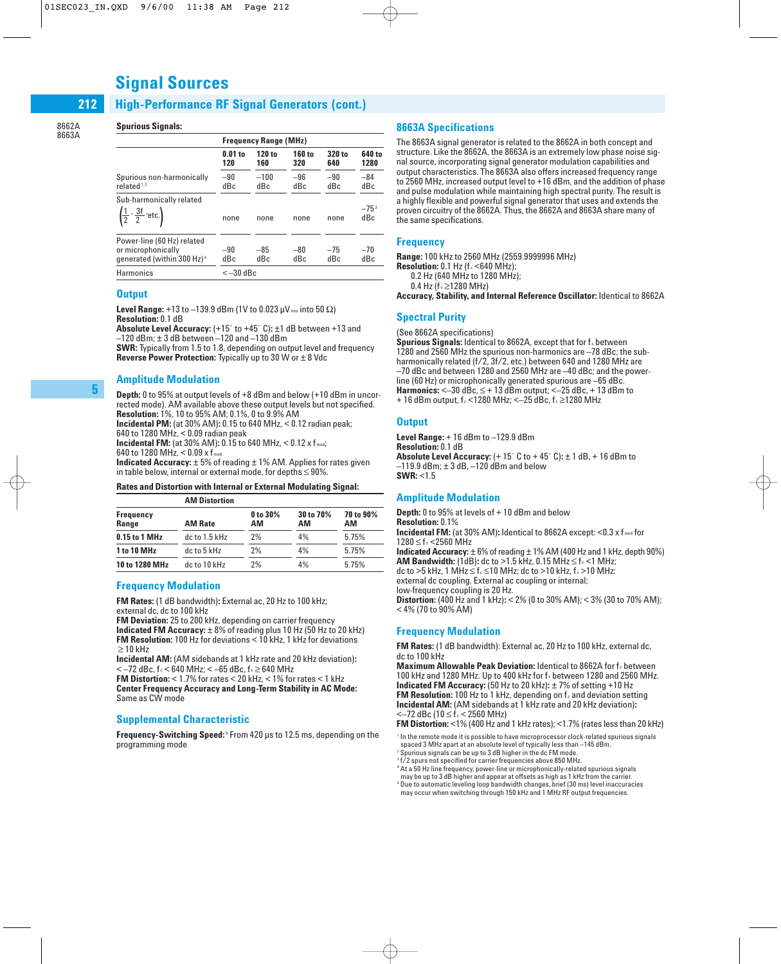# **Signal Sources**

#### **High-Performance RF Signal Generators (cont.) 212**

8662A 8663A

#### **Spurious Signals:**

|                                                                                            | <b>Frequency Range (MHz)</b> |               |               |               |                  |
|--------------------------------------------------------------------------------------------|------------------------------|---------------|---------------|---------------|------------------|
|                                                                                            | $0.01$ to<br>120             | 120 to<br>160 | 160 to<br>320 | 320 to<br>640 | 640 to<br>1280   |
| Spurious non-harmonically<br>related $1.2$                                                 | $-90$<br>dBc                 | $-100$<br>dBc | $-96$<br>dBc  | $-90$<br>dBc  | $-84$<br>dBc     |
| Sub-harmonically related<br>$\left(\frac{1}{2}, \frac{3f}{2}, \text{etc.}\right)$          | none                         | none          | none          | none          | $-75^{3}$<br>dBc |
| Power-line (60 Hz) related<br>or microphonically<br>generated (within 300 Hz) <sup>4</sup> | $-90$<br>dBc                 | $-85$<br>dBc  | $-80$<br>dBc  | $-75$<br>dBc  | $-70$<br>dBc     |
| Harmonics                                                                                  | $<-30$ dBc                   |               |               |               |                  |

#### **Output**

**Level Range:** +13 to  $-139.9$  dBm (1V to 0.023  $\mu$ V ms into 50  $\Omega$ ) **Resolution:** 0.1 dB

**Absolute Level Accuracy:** (+15˚ to +45˚ C)**:** ±1 dB between +13 and –120 dBm; ± 3 dB between –120 and –130 dBm

**SWR:** Typically from 1.5 to 1.8, depending on output level and frequency **Reverse Power Protection:** Typically up to 30 W or ± 8 Vdc

#### **Amplitude Modulation**

**Depth:** 0 to 95% at output levels of +8 dBm and below (+10 dBm in uncorrected mode). AM available above these output levels but not specified. **Resolution:** 1%, 10 to 95% AM; 0.1%, 0 to 9.9% AM

**Incidental PM:** (at 30% AM)**:** 0.15 to 640 MHz, < 0.12 radian peak;

640 to 1280 MHz, < 0.09 radian peak **Incidental FM:** (at 30% AM)**:** 0.15 to 640 MHz, < 0.12 x f mod;

640 to 1280 MHz,  $<$  0.09 x f<sub>mod</sub>

**Indicated Accuracy:**  $\pm$  5% of reading  $\pm$  1% AM. Applies for rates given in table below, internal or external mode, for depths  $\leq$  90%.

#### **Rates and Distortion with Internal or External Modulating Signal:**

|                    | <b>AM Distortion</b> |                |                 |                 |
|--------------------|----------------------|----------------|-----------------|-----------------|
| Frequency<br>Range | <b>AM Rate</b>       | 0 to 30%<br>AМ | 30 to 70%<br>AМ | 70 to 90%<br>АM |
| 0.15 to 1 MHz      | $dc$ to 1.5 kHz      | 2%             | 4%              | 5.75%           |
| <b>1 to 10 MHz</b> | dc to 5 kHz          | 2%             | 4%              | 5.75%           |
| 10 to 1280 MHz     | dc to 10 kHz         | 2%             | 4%              | 5.75%           |

#### **Frequency Modulation**

**FM Rates:** (1 dB bandwidth)**:** External ac, 20 Hz to 100 kHz; external dc, dc to 100 kHz

**FM Deviation:** 25 to 200 kHz, depending on carrier frequency

**Indicated FM Accuracy:** ± 8% of reading plus 10 Hz (50 Hz to 20 kHz) **FM Resolution:** 100 Hz for deviations < 10 kHz, 1 kHz for deviations  $\geq$  10 kHz

**Incidental AM:** (AM sidebands at 1 kHz rate and 20 kHz deviation)**:**  $<$  –72 dBc, f c < 640 MHz; < –65 dBc, f c ≥ 640 MHz

**FM Distortion:** < 1.7% for rates < 20 kHz, < 1% for rates < 1 kHz **Center Frequency Accuracy and Long-Term Stability in AC Mode:** Same as CW mode

#### **Supplemental Characteristic**

Frequency-Switching Speed:<sup>5</sup> From 420 µs to 12.5 ms, depending on the programming mode

#### **8663A Specifications**

The 8663A signal generator is related to the 8662A in both concept and structure. Like the 8662A, the 8663A is an extremely low phase noise signal source, incorporating signal generator modulation capabilities and output characteristics. The 8663A also offers increased frequency range to 2560 MHz, increased output level to +16 dBm, and the addition of phase and pulse modulation while maintaining high spectral purity. The result is a highly flexible and powerful signal generator that uses and extends the proven circuitry of the 8662A. Thus, the 8662A and 8663A share many of the same specifications.

#### **Frequency**

**Range:** 100 kHz to 2560 MHz (2559.9999996 MHz) **Resolution:** 0.1 Hz (f c <640 MHz);

0.2 Hz (640 MHz to 1280 MHz);

0.4 Hz ( $f$ <sub>c</sub> ≥1280 MHz)

**Accuracy, Stability, and Internal Reference Oscillator:** Identical to 8662A

#### **Spectral Purity**

(See 8662A specifications)

**Spurious Signals:** Identical to 8662A, except that for f<sub>c</sub> between 1280 and 2560 MHz the spurious non-harmonics are –78 dBc; the subharmonically related (f/2, 3f/2, etc.) between 640 and 1280 MHz are –70 dBc and between 1280 and 2560 MHz are –40 dBc; and the powerline (60 Hz) or microphonically generated spurious are –65 dBc. **Harmonics:**  $\leq -30$  dBc,  $\leq +13$  dBm output;  $\leq -25$  dBc,  $+13$  dBm to + 16 dBm output, f $_{c}$  < 1280 MHz; < - 25 dBc, f $_{c}$  ≥1280 MHz

#### **Output**

**Level Range:** + 16 dBm to –129.9 dBm **Resolution:** 0.1 dB **Absolute Level Accuracy:** (+ 15˚ C to + 45˚ C)**:** ± 1 dB, + 16 dBm to  $-119.9$  dBm;  $\pm 3$  dB,  $-120$  dBm and below **SWR:** <1.5

#### **Amplitude Modulation**

**Depth:** 0 to 95% at levels of + 10 dBm and below **Resolution:** 0.1% **Incidental FM:** (at 30% AM): Identical to 8662A except: <0.3 x fmod for  $1280 \le f_c$  <2560 MHz **Indicated Accuracy:** ± 6% of reading ± 1% AM (400 Hz and 1 kHz, depth 90%) **AM Bandwidth:** (1dB): dc to >1.5 kHz, 0.15 MHz  $\leq$  f $\leq$  1 MHz; dc to >5 kHz, 1 MHz  $\leq$  f $_c$   $\leq$  10 MHz; dc to >10 kHz, f $_c$  >10 MHz: external dc coupling. External ac coupling or internal; low-frequency coupling is 20 Hz. **Distortion:** (400 Hz and 1 kHz)**:** < 2% (0 to 30% AM); < 3% (30 to 70% AM); < 4% (70 to 90% AM)

#### **Frequency Modulation**

**FM Rates:** (1 dB bandwidth): External ac, 20 Hz to 100 kHz, external dc, dc to 100 kHz

**Maximum Allowable Peak Deviation:** Identical to 8662A for f. between 100 kHz and 1280 MHz. Up to 400 kHz for f. between 1280 and 2560 MHz. **Indicated FM Accuracy:** (50 Hz to 20 kHz)**:** ± 7% of setting +10 Hz **FM Resolution:** 100 Hz to 1 kHz, depending on f<sub>c</sub> and deviation setting **Incidental AM:** (AM sidebands at 1 kHz rate and 20 kHz deviation)**:**  $<-72$  dBc (10  $\leq$  f $\leq$   $<$  2560 MHz)

**FM Distortion:** <1% (400 Hz and 1 kHz rates); <1.7% (rates less than 20 kHz)

<sup>1</sup> In the remote mode it is possible to have microprocessor clock-related spurious signals spaced 3 MHz apart at an absolute level of typically less than –145 dBm.

<sup>2</sup> Spurious signals can be up to 3 dB higher in the dc FM mode.

<sup>3</sup> f/2 spurs not specified for carrier frequencies above 850 MHz. <sup>4</sup> At a 50 Hz line frequency, power-line or microphonically-related spurious signals

may be up to 3 dB higher and appear at offsets as high as 1 kHz from the carrier.

<sup>5</sup> Due to automatic leveling loop bandwidth changes, brief (30 ms) level inaccuracies may occur when switching through 150 kHz and 1 MHz RF output frequencies.